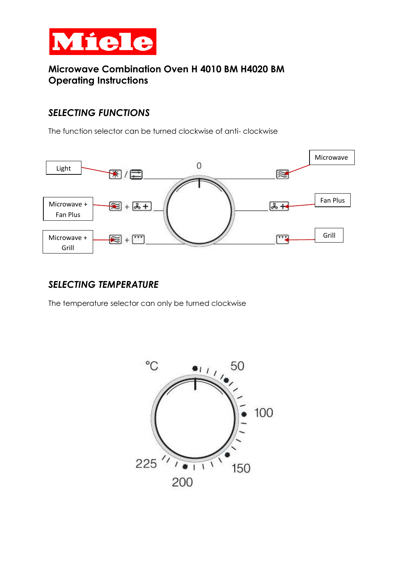

# **Microwave Combination Oven H 4010 BM H4020 BM Operating Instructions**

# *SELECTING FUNCTIONS*

The function selector can be turned clockwise of anti- clockwise



## *SELECTING TEMPERATURE*

The temperature selector can only be turned clockwise